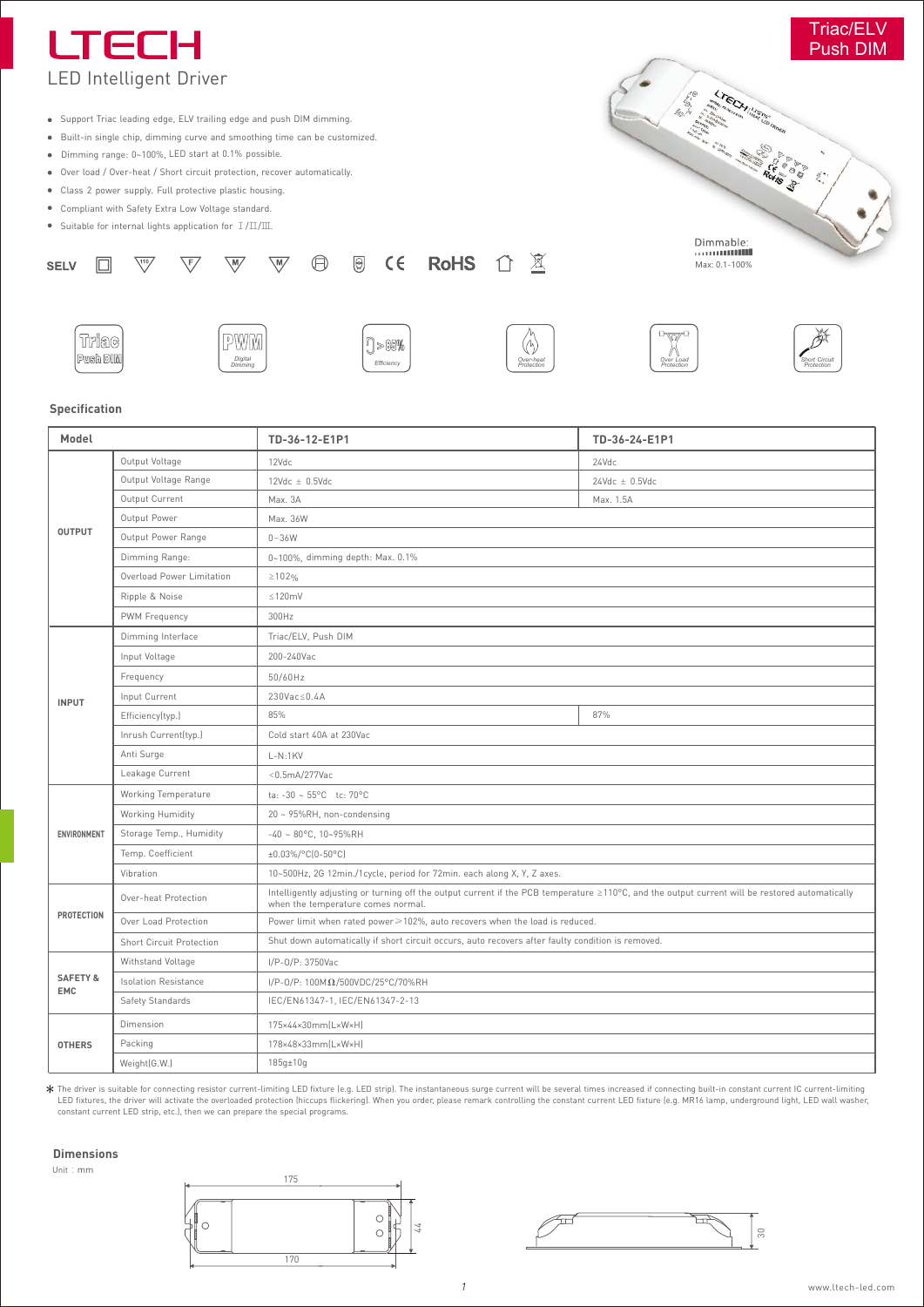

*Over***-***heat Protection*

*Protection Protection Protection Protection Protection**Protection* **<b>***Protection Protection* 

*Over Load Protection* **Short** Circuit

## **Specification**

*Digital Dimming*

| Model                             |                                 | TD-36-12-E1P1                                                                                                                                                                        | TD-36-24-E1P1         |
|-----------------------------------|---------------------------------|--------------------------------------------------------------------------------------------------------------------------------------------------------------------------------------|-----------------------|
| <b>OUTPUT</b>                     | Output Voltage                  | 12Vdc                                                                                                                                                                                | 24Vdc                 |
|                                   | Output Voltage Range            | $12$ Vdc $\pm$ 0.5Vdc                                                                                                                                                                | $24$ Vdc $\pm$ 0.5Vdc |
|                                   | Output Current                  | Max. 3A                                                                                                                                                                              | Max. 1.5A             |
|                                   | Output Power                    | Max. 36W                                                                                                                                                                             |                       |
|                                   | Output Power Range              | $0 - 36W$                                                                                                                                                                            |                       |
|                                   | Dimming Range:                  | 0~100%, dimming depth: Max. 0.1%                                                                                                                                                     |                       |
|                                   | Overload Power Limitation       | $\geq 102\%$                                                                                                                                                                         |                       |
|                                   | Ripple & Noise                  | $\leq 120$ mV                                                                                                                                                                        |                       |
|                                   | PWM Frequency                   | 300Hz                                                                                                                                                                                |                       |
| <b>INPUT</b>                      | Dimming Interface               | Triac/ELV, Push DIM                                                                                                                                                                  |                       |
|                                   | Input Voltage                   | 200-240Vac                                                                                                                                                                           |                       |
|                                   | Frequency                       | 50/60Hz                                                                                                                                                                              |                       |
|                                   | Input Current                   | 230Vac≤0.4A                                                                                                                                                                          |                       |
|                                   | Efficiency(typ.)                | 85%                                                                                                                                                                                  | 87%                   |
|                                   | Inrush Current(typ.)            | Cold start 40A at 230Vac                                                                                                                                                             |                       |
|                                   | Anti Surge                      | $L-N:1KV$                                                                                                                                                                            |                       |
|                                   | Leakage Current                 | $<$ 0.5mA/277Vac                                                                                                                                                                     |                       |
| ENVIRONMENT                       | <b>Working Temperature</b>      | ta: $-30 - 55^{\circ}$ C tc: 70°C                                                                                                                                                    |                       |
|                                   | Working Humidity                | 20 ~ 95%RH, non-condensing                                                                                                                                                           |                       |
|                                   | Storage Temp., Humidity         | $-40 \sim 80^{\circ}$ C, 10~95%RH                                                                                                                                                    |                       |
|                                   | Temp. Coefficient               | ±0.03%/°C(0-50°C)                                                                                                                                                                    |                       |
|                                   | Vibration                       | 10~500Hz, 2G 12min./1cycle, period for 72min. each along X, Y, Z axes.                                                                                                               |                       |
| <b>PROTECTION</b>                 | Over-heat Protection            | Intelligently adjusting or turning off the output current if the PCB temperature ≥110°C, and the output current will be restored automatically<br>when the temperature comes normal. |                       |
|                                   | Over Load Protection            | Power limit when rated power≥102%, auto recovers when the load is reduced.                                                                                                           |                       |
|                                   | <b>Short Circuit Protection</b> | Shut down automatically if short circuit occurs, auto recovers after faulty condition is removed.                                                                                    |                       |
| <b>SAFETY &amp;</b><br><b>EMC</b> | Withstand Voltage               | I/P-0/P: 3750Vac                                                                                                                                                                     |                       |
|                                   | <b>Isolation Resistance</b>     | I/P-0/P: $100M\Omega/500VDC/25°C/70%RH$                                                                                                                                              |                       |
|                                   | Safety Standards                | IEC/EN61347-1, IEC/EN61347-2-13                                                                                                                                                      |                       |
|                                   | Dimension                       | 175×44×30mm(L×W×H)                                                                                                                                                                   |                       |
| <b>OTHERS</b>                     | Packing                         | 178×48×33mm(L×W×H)                                                                                                                                                                   |                       |
|                                   | Weight(G.W.)                    | $185q \pm 10q$                                                                                                                                                                       |                       |

The driver is suitable for connecting resistor current-limiting LED fixture (e.g. LED strip). The instantaneous surge current will be several times increased if connecting built-in constant current IC current-limiting<br>LED

## **Dimensions**

Unit:mm